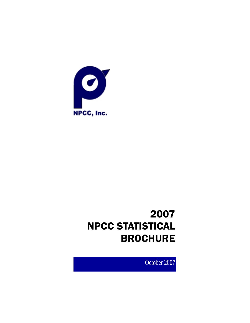

# 2007 NPCC STATISTICAL BROCHURE

October 2007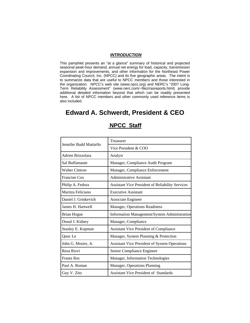#### *INTRODUCTION*

This pamphlet presents an "at a glance" summary of historical and projected seasonal peak-hour demand, annual net energy for load, capacity, transmission expansion and improvements, and other information for the Northeast Power Coordinating Council, Inc. (NPCC) and its five geographic areas. The intent is to summarize data that are useful to NPCC members and those interested in the organization. NPCC's web site (www.npcc.org) and NERC's "2007 Long-Term Reliability Assessment" (www.nerc.com/~filez/rasreports.html) provide additional detailed information beyond that which can be readily presented here. A list of NPCC members and other commonly used reference items is also included.

# **Edward A. Schwerdt, President & CEO**

| Jennifer Budd Mattiello | Treasurer                                               |  |  |
|-------------------------|---------------------------------------------------------|--|--|
|                         | Vice President & COO                                    |  |  |
| Adrien Brizzolara       | Analyst                                                 |  |  |
| Sal Buffamante          | Manager, Compliance Audit Program                       |  |  |
| <b>Walter Cintron</b>   | Manager, Compliance Enforcement                         |  |  |
| Francine Cox            | Administrative Assistant                                |  |  |
| Philip A. Fedora        | <b>Assistant Vice President of Reliability Services</b> |  |  |
| Maritza Feliciano       | <b>Executive Assistant</b>                              |  |  |
| Daniel J. Grinkevich    | Associate Engineer                                      |  |  |
| James H. Hartwell       | Manager, Operations Readiness                           |  |  |
| <b>Brian Hogue</b>      | Information Management/System Administration            |  |  |
| Donal J. Kidney         | Manager, Compliance                                     |  |  |
| Stanley E. Kopman       | <b>Assistant Vice President of Compliance</b>           |  |  |
| Quoc Le                 | Manager, System Planning & Protection                   |  |  |
| John G. Mosier, Jr.     | Assistant Vice President of System Operations           |  |  |
| Reza Rizvi              | Senior Compliance Engineer                              |  |  |
| <b>Frantz Roc</b>       | Manager, Information Technologies                       |  |  |
| Paul A. Roman           | Manager, Operations Planning                            |  |  |
| Guy V. Zito             | <b>Assistant Vice President of Standards</b>            |  |  |

## **NPCC Staff**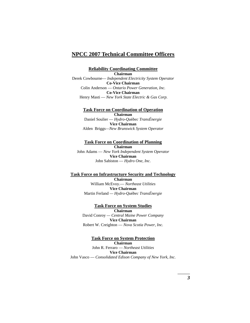## **NPCC 2007 Technical Committee Officers**

**Reliability Coordinating Committee Chairman**  Derek Cowbourne— *Independent Electricity System Operator*  **Co-Vice Chairman**  Colin Anderson — *Ontario Power Generation, Inc.*  **Co-Vice Chairman**  Henry Masti — *New York State Electric & Gas Corp.* 

**Task Force on Coordination of Operation Chairman**  Daniel Soulier — *Hydro-Qu*é*bec TransÉnergie*  **Vice Chairman**  Alden Briggs*—New Brunswick System Operator* 

**Task Force on Coordination of Planning Chairman**  John Adams — *New York Independent System Operator*  **Vice Chairman** John Sabiston — *Hydro One, Inc.* 

**Task Force on Infrastructure Security and Technology Chairman**  William McEvoy.— *Northeast Utilities* 

**Vice Chairman** Martin Ferland *— Hydro-Qu*é*bec TransÉnergie*

**Task Force on System Studies Chairman**  David Conroy *— Central Maine Power Company*  **Vice Chairman** Robert W. Creighton — *Nova Scotia Power, Inc.* 

**Task Force on System Protection Chairman**  John R. Ferraro — *Northeast Utilities* **Vice Chairman**  John Vasco — *Consolidated Edison Company of New York, Inc.*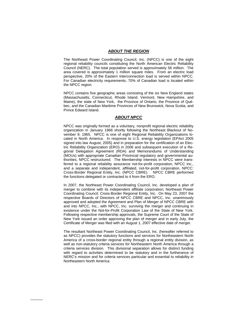#### *ABOUT THE REGION*

The Northeast Power Coordinating Council, Inc. (NPCC) is one of the eight regional reliability councils constituting the North American Electric Reliability Council (NERC). The total population served is approximately 56 million. The area covered is approximately 1 million square miles. From an electric load perspective, 20% of the Eastern Interconnection load is served within NPCC. For Canadian electricity requirements, 70% of Canadian load is located within the NPCC region.

NPCC contains five geographic areas consisting of the six New England states (Massachusetts, Connecticut, Rhode Island, Vermont, New Hampshire, and Maine), the state of New York, the Province of Ontario, the Province of Québec, and the Canadian Maritime Provinces of New Brunswick, Nova Scotia, and Prince Edward Island.

#### *ABOUT NPCC*

NPCC was originally formed as a voluntary, nonprofit regional electric reliability organization in January 1966 shortly following the Northeast Blackout of November 9, 1965. NPCC is one of eight Regional Reliability Organizations located in North America. In response to U.S. energy legislation (EPAct 2005 signed into law August, 2005) and in preparation for the certification of an Electric Reliability Organization (ERO) in 2006 and subsequent execution of a Regional Delegation Agreement (RDA) and Memorandums of Understanding (MOUs) with appropriate Canadian Provincial regulatory and governmental authorities, NPCC restructured. The Membership interests in NPCC were transferred to a regional reliability assurance not-for-profit corporation, NPCC Inc., and a separate and independent, affiliated, not-for-profit corporation, NPCC: Cross-Border Regional Entity, Inc. (NPCC CBRE). NPCC CBRE performed the functions delegated or contracted to it from the ERO.

In 2007, the Northeast Power Coordinating Council, Inc. developed a plan of merger to combine with its independent affiliate corporation; Northeast Power Coordinating Council: Cross-Border Regional Entity, Inc. On May 23, 2007 the respective Boards of Directors of NPCC CBRE and NPCC, Inc. unanimously approved and adopted the Agreement and Plan of Merger of NPCC CBRE with and into NPCC, Inc., with NPCC, Inc. surviving the merger and continuing in existence under the Not-for-Profit Corporation Law of the State of New York. Following respective membership approvals, the Supreme Court of the State of New York issued an order approving the plan of merger and in early July, the Certificate of Merger was filed with an August 1, 2007 effective date of merger.

The resultant Northeast Power Coordinating Council, Inc. (hereafter referred to as NPCC) provides the statutory functions and services for Northeastern North America of a cross-border regional entity through a regional entity division, as well as non-statutory criteria services for Northeastern North America through a criteria services division. This divisional separation allows for distinct funding with regard to activities determined to be statutory and in the furtherance of NERC's mission and for criteria services particular and essential to reliability in Northeastern North America.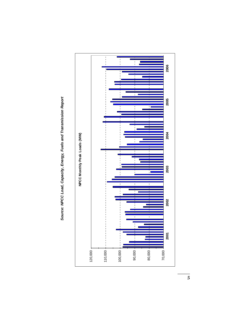

Source: NPCC Load, Capacity, Energy, Fuels and Transmission Report *Source: NPCC Load, Capacity, Energy, Fuels and Transmission Report* 

*5*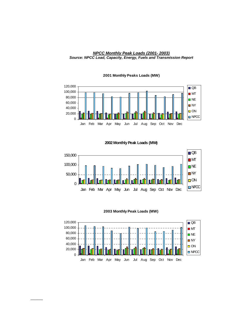#### *NPCC Monthly Peak Loads (2001- 2003) Source: NPCC Load, Capacity, Energy, Fuels and Transmission Report*



#### **2001 Monthly Peaks Loads (MW)**

**2002 Monthly Peak Loads (MW)**



**2003 Monthly Peak Loads (MW)**

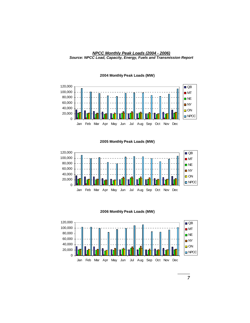



#### **2004 Monthly Peak Loads (MW)**

**2005 Monthly Peak Loads (MW)**



**2006 Monthly Peak Loads (MW)**

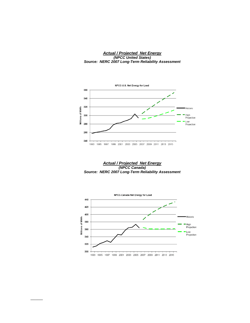*Actual / Projected Net Energy (NPCC United States) Source: NERC 2007 Long-Term Reliability Assessment* 



*Actual / Projected Net Energy (NPCC Canada) Source: NERC 2007 Long-Term Reliability Assessment* 

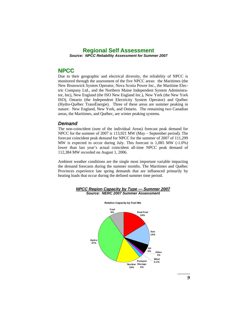## **Regional Self Assessment**  *Source: NPCC Reliability Assessment for Summer 2007*

## **NPCC**

Due to their geographic and electrical diversity, the reliability of NPCC is monitored through the assessment of the five NPCC areas: the Maritimes (the New Brunswick System Operator, Nova Scotia Power Inc., the Maritime Electric Company Ltd., and the Northern Maine Independent System Administrator, Inc), New England (the ISO New England Inc.), New York (the New York ISO), Ontario (the Independent Electricity System Operator) and Québec (Hydro-Québec TransÉnergie). Three of these areas are summer peaking in nature: New England, New York, and Ontario. The remaining two Canadian areas, the Maritimes, and Québec, are winter peaking systems.

#### *Demand*

The non-coincident (sum of the individual Areas) forecast peak demand for NPCC for the summer of 2007 is 113,921 MW (May – September period). The forecast coincident peak demand for NPCC for the summer of 2007 of 111,299 MW is expected to occur during July. This forecast is 1,085 MW (-1.0%) lower than last year's actual coincident all-time NPCC peak demand of 112,384 MW recorded on August 1, 2006.

Ambient weather conditions are the single most important variable impacting the demand forecasts during the summer months. The Maritimes and Québec Provinces experience late spring demands that are influenced primarily by heating loads that occur during the defined summer time period.



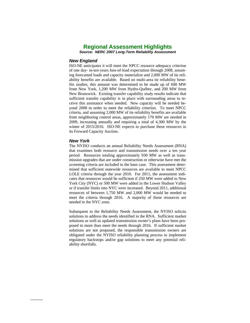## **Regional Assessment Highlights**

*Source: NERC 2007 Long-Term Reliability Assessment* 

#### *New England*

ISO-NE anticipates it will meet the NPCC resource adequacy criterion of one day- in-ten-years loss-of-load expectation through 2008, assuming forecasted loads and capacity materialize and 2,000 MW of tie reliability benefits are available. Based on multi-area tie reliability benefits studies, this amount was determined to be made up of 600 MW from New York, 1,200 MW from Hydro-Québec, and 200 MW from New Brunswick. Existing transfer capability study results indicate that sufficient transfer capability is in place with surrounding areas to receive this assistance when needed. New capacity will be needed beyond 2008 in order to meet the reliability criterion. To meet NPCC criteria, and assuming 2,000 MW of tie reliability benefits are available from neighboring control areas, approximately 170 MW are needed in 2009, increasing annually and requiring a total of 4,300 MW by the winter of 2015/2016. ISO-NE expects to purchase these resources in its Forward Capacity Auction.

#### *New York*

*\_\_\_\_\_* 

The NYISO conducts an annual Reliability Needs Assessment (RNA) that examines both resource and transmission needs over a ten year period. Resources totaling approximately 930 MW as well as transmission upgrades that are under construction or otherwise have met the screening criteria are included in the base case. This assessment determined that sufficient statewide resources are available to meet NPCC LOLE criteria through the year 2010. For 2011, the assessment indicates that resources would be sufficient if 250 MW were added to New York City (NYC) or 500 MW were added in the Lower Hudson Valley or if transfer limits into NYC were increased. Beyond 2011, additional resources of between 1,750 MW and 2,000 MW would be needed to meet the criteria through 2016. A majority of those resources are needed in the NYC zone.

Subsequent to the Reliability Needs Assessment, the NYISO solicits solutions to address the needs identified in the RNA. Sufficient market solutions as well as updated transmission owner's plans have been proposed to more than meet the needs through 2016. If sufficient market solutions are not proposed, the responsible transmission owners are obligated under the NYISO reliability planning process to implement regulatory backstops and/or gap solutions to meet any potential reliability shortfalls.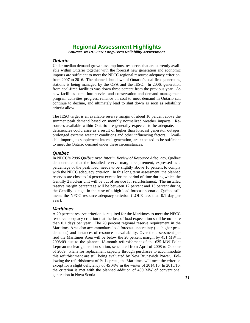## **Regional Assessment Highlights**

*Source: NERC 2007 Long-Term Reliability Assessment* 

#### *Ontario*

Under median demand growth assumptions, resources that are currently available within Ontario together with the forecast new generation and economic imports are sufficient to meet the NPCC regional resource adequacy criterion, from 2007 to 2016. The planned shut down of Ontario's coal-fired generating stations is being managed by the OPA and the IESO. In 2006, generation from coal-fired facilities was down three percent from the previous year. As new facilities come into service and conservation and demand management program activities progress, reliance on coal to meet demand in Ontario can continue to decline, and ultimately lead to shut down as soon as reliability criteria allow.

The IESO target is an available reserve margin of about 16 percent above the summer peak demand based on monthly normalized weather impacts. Resources available within Ontario are generally expected to be adequate, but deficiencies could arise as a result of higher than forecast generator outages, prolonged extreme weather conditions and other influencing factors. Available imports, to supplement internal generation, are expected to be sufficient to meet the Ontario demand under these circumstances.

#### *Quebec*

In NPCC's *2006 Québec Area Interim Review of Resource Adequacy*, Québec demonstrated that the installed reserve margin requirement, expressed as a percentage of the peak load, needs to be slightly above 10 percent to comply with the NPCC adequacy criterion. In this long term assessment, the planned reserves are close to 14 percent except for the period of time during which the Gentilly 2 nuclear unit will be out of service for refurbishment. The installed reserve margin percentage will be between 12 percent and 13 percent during the Gentilly outage. In the case of a high load forecast scenario, Québec still meets the NPCC resource adequacy criterion (LOLE less than 0.1 day per year).

#### *Maritimes*

ai *\_\_\_\_* A 20 percent reserve criterion is required for the Maritimes to meet the NPCC resource adequacy criterion that the loss of load expectation shall be no more than 0.1 days per year. The 20 percent regional reserve requirement in the Maritimes Area also accommodates load forecast uncertainty (i.e. higher peak demands) and instances of resource unavailability. Over the assessment period the Maritimes Area will be below the 20 percent margin by 451 MW in 2008/09 due to the planned 18-month refurbishment of the 635 MW Point Lepreau nuclear generation station, scheduled from April of 2008 to October of 2009. Plans for replacement capacity through purchases to accommodate this refurbishment are still being evaluated by New Brunswick Power. Following the refurbishment of Pt. Lepreau, the Maritimes will meet the criterion except for a slight deficiency of 45 MW in the winter of 2014/15. In 2015/16, the criterion is met with the planned addition of 400 MW of conventional generation in Nova Scotia.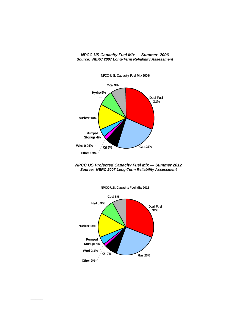#### *NPCC US Capacity Fuel Mix — Summer 2006 Source: NERC 2007 Long-Term Reliability Assessment*



**NPCC-U.S. Capacity Fuel Mix 2006**

*NPCC US Projected Capacity Fuel Mix — Summer 2012 Source: NERC 2007 Long-Term Reliability Assessment* 

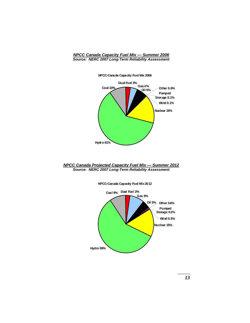*NPCC Canada Capacity Fuel Mix — Summer 2006 Source: NERC 2007 Long-Term Reliability Assessment* 



**NPCC-Canada Capacity Fuel Mix 2006**

#### *NPCC Canada Projected Capacity Fuel Mix — Summer 2012 Source: NERC 2007 Long-Term Reliability Assessment*



**NPCC-Canada Capacity Fuel Mix 2012**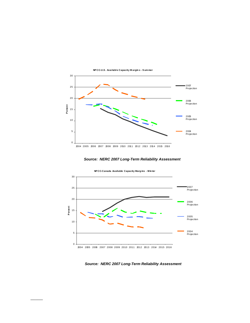

**NP CC-U.S . Avai labl e Capacity M argin s - S um mer**





*Source: NERC 2007 Long-Term Reliability Assessment*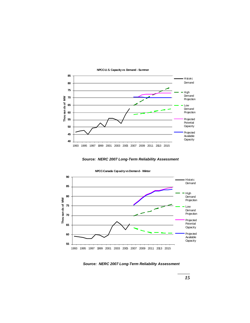

**NPCC-U.S. Capacity vs Demand - Summer**





*Source: NERC 2007 Long-Term Reliability Assessment*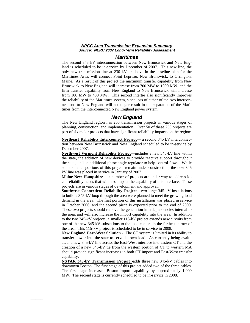#### *NPCC Area Transmission Expansion Summary Source: NERC 2007 Long-Term Reliability Assessment*

#### *Maritimes*

The second 345 kV interconnection between New Brunswick and New England is scheduled to be in-service by December of 2007. This new line, the only new transmission line at 230 kV or above in the baseline plan for the Maritimes Area, will connect Point Lepreau, New Brunswick, to Orrington, Maine. As a result of this project the maximum transfer capability from New Brunswick to New England will increase from 700 MW to 1000 MW, and the firm transfer capability from New England to New Brunswick will increase from 100 MW to 400 MW. This second intertie also significantly improves the reliability of the Maritimes system, since loss of either of the two interconnections to New England will no longer result in the separation of the Maritimes from the interconnected New England power system.

#### *New England*

The New England region has 253 transmission projects in various stages of planning, construction, and implementation. Over 50 of these 253 projects are part of six major projects that have significant reliability impacts on the region:

**Northeast Reliability Interconnect Project**— a second 345 kV interconnection between New Brunswick and New England scheduled to be in-service by December 2007.

**Northwest Vermont Reliability Project**—includes a new 345-kV line within the state, the addition of new devices to provide reactive support throughout the state, and an additional phase angle regulator to help control flows. While some smaller portions of this project remain under construction, the new 345 kV line was placed in service in January of 2007.

**Maine-New Hampshire**— a number of projects are under way to address local reliability needs that will also impact the capability of this interface. These projects are in various stages of development and approval.

**Southwest Connecticut Reliability Project**—two large 345-kV installations to build a 345-kV loop through the area were planned to meet the growing load demand in the area. The first portion of this installation was placed in service in October 2006, and the second piece is expected prior to the end of 2009. These two projects should remove the generation interdependencies internal to the area, and will also increase the import capability into the area. In addition to the two 345-kV projects, a smaller 115-kV project extends new circuits from one of the new 345-kV substations to the load centers in the farthest corner of the area. This 115-kV project is scheduled to be in service in 2008.

**New England East-West Solution** - The CT system is limited in its ability to transfer power into the state to serve its own load. As currently being evaluated, a new 345-kV line across the East-West interface into eastern CT and the creation of a new 345-kV tie from the western portion of CT to western MA should provide significant increases in both CT import and East-West transfer capability.

**NSTAR 345-kV Transmission Project** -adds three new 345-kV cables into downtown Boston. The first stage of this project added two of the three cables. The first stage increased Boston-import capability by approximately 1,000 MW. The second stage is currently scheduled to be in-service in 2008.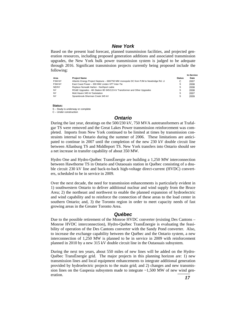## *New York*

Based on the present load forecast, planned transmission facilities, and projected generation resources, including proposed generation additions and associated transmission upgrades, the New York bulk power transmission system is judged to be adequate through 2016. Significant transmission projects currently being proposed include the following:

|           |                                                                                       |               | <b>In-Service</b> |  |
|-----------|---------------------------------------------------------------------------------------|---------------|-------------------|--|
| Area      | <b>Project Name</b>                                                                   | <b>Status</b> | Date              |  |
| P.JM-NY   | Atlantic Energy Project Neptune - 660/750 MW monopole DC from PJM to Newbridge Rd. LI |               | 2007              |  |
| PJM-NY    | East Coast Power - 300 MW Linden VFT Inter-Tie                                        | s             | 2008              |  |
| NE/NY     | Replace Norwalk Harbor - Northport cable                                              | s             | 2008              |  |
| <b>NY</b> | RG&E Upgrades - 4th Station 80 345/115 kV Transformer and Other Upgrades              | s             | 2008              |  |
| <b>NY</b> | Mott Haven 345 kV Substation                                                          | s             | 2007              |  |
| <b>NY</b> | Sprainbrook-Sherman Creek 345 kV                                                      | S             | 2009              |  |

#### **Status:**

S – Study is underway or complete C – Under construction

#### *Ontario*

During the last year, deratings on the 500/230 kV, 750 MVA autotransformers at Trafalgar TS were removed and the Great Lakes Power transmission reinforcement was completed. Imports from New York continued to be limited at times by transmission constraints internal to Ontario during the summer of 2006. These limitations are anticipated to continue in 2007 until the completion of the new 230 kV double circuit line between Allanburg TS and Middleport TS. New York transfers into Ontario should see a net increase in transfer capability of about 350 MW.

Hydro One and Hydro-Québec TransÉnergie are building a 1,250 MW interconnection between Hawthorne TS in Ontario and Outaouais station in Québec consisting of a double circuit 230 kV line and back-to-back high-voltage direct-current (HVDC) converters, scheduled to be in service in 2009.

Over the next decade, the need for transmission enhancements is particularly evident in 1) southwestern Ontario to deliver additional nuclear and wind supply from the Bruce Area; 2) the northeast and northwest to enable the planned expansion of hydroelectric and wind capability and to reinforce the connection of these areas to the load center in southern Ontario; and, 3) the Toronto region in order to meet capacity needs of fast growing areas in the Greater Toronto Area.

#### *Québec*

Due to the possible retirement of the Monroe HVDC converter (existing Des Cantons – Monroe HVDC interconnection), Hydro-Québec TransÉnergie is evaluating the feasibility of operation of the Des Cantons converter with the Sandy Pond converter. Also, to increase the exchange capability between the Québec and the Ontario system, a new interconnection of 1,250 MW is planned to be in service in 2009 with reinforcement planned in 2010 by a new 315 kV double circuit line in the Outaouais subsystem.

sion lines on the Gaspesia subsystem made to integrate ~1,500 MW of new wind generation During the next ten years, about 550 miles of new lines will be added on the Hydro-Québec TransÉnergie grid. The major projects in this planning horizon are: 1) new transmission lines and local equipment enhancements to integrate additional generation provided by hydroelectric projects to the main grid; and 2) changes and new transmiseration.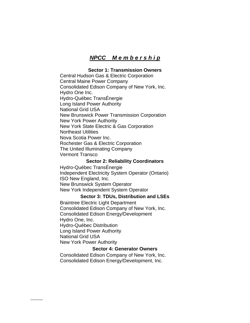# *NPCC M e m b e r s h i p*

## **Sector 1: Transmission Owners**

Central Hudson Gas & Electric Corporation Central Maine Power Company Consolidated Edison Company of New York, Inc. Hydro One Inc. Hydro-Québec TransÉnergie Long Island Power Authority National Grid USA New Brunswick Power Transmission Corporation New York Power Authority New York State Electric & Gas Corporation Northeast Utilities Nova Scotia Power Inc. Rochester Gas & Electric Corporation The United Illuminating Company Vermont Transco

## **Sector 2: Reliability Coordinators**

Hydro-Québec TransÉnergie Independent Electricity System Operator (Ontario) ISO New England, Inc. New Brunswick System Operator New York Independent System Operator

## **Sector 3: TDUs, Distribution and LSEs**

Braintree Electric Light Department Consolidated Edison Company of New York, Inc. Consolidated Edison Energy/Development Hydro One, Inc. Hydro-Québec Distribution Long Island Power Authority National Grid USA New York Power Authority

## **Sector 4: Generator Owners**

Consolidated Edison Company of New York, Inc. Consolidated Edison Energy/Development, Inc.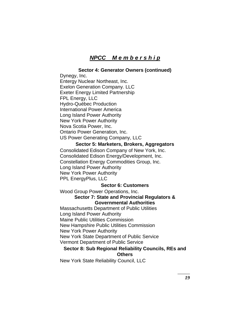# *NPCC M e m b e r s h i p*

## **Sector 4: Generator Owners (continued)**

Dynegy, Inc. Entergy Nuclear Northeast, Inc. Exelon Generation Company. LLC Exeter Energy Limited Partnership FPL Energy, LLC Hydro-Québec Production International Power America Long Island Power Authority New York Power Authority Nova Scotia Power, Inc. Ontario Power Generation, Inc.

US Power Generating Company, LLC

## **Sector 5: Marketers, Brokers, Aggregators**

Consolidated Edison Company of New York, Inc. Consolidated Edison Energy/Development, Inc. Constellation Energy Commodities Group, Inc. Long Island Power Authority New York Power Authority PPL EnergyPlus, LLC

## **Sector 6: Customers**

Wood Group Power Operations, Inc. **Sector 7: State and Provincial Regulators & Governmental Authorities**  Massachusetts Department of Public Utilities

Long Island Power Authority Maine Public Utilities Commission New Hampshire Public Utilities Commission New York Power Authority New York State Department of Public Service Vermont Department of Public Service

## **Sector 8: Sub Regional Reliability Councils, REs and Others**

New York State Reliability Council, LLC